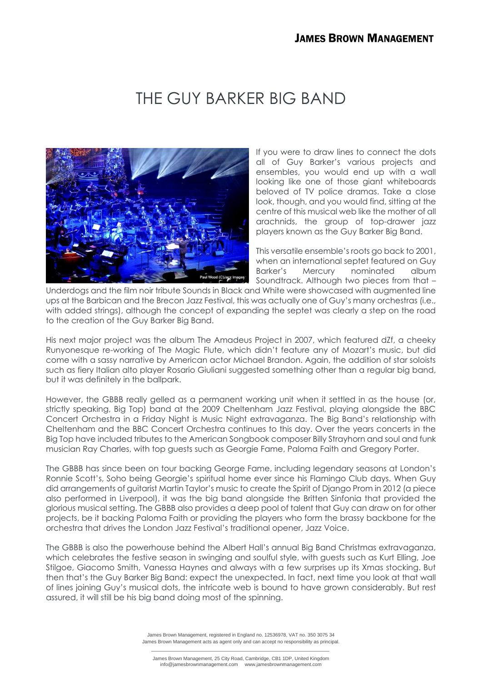## THE GUY BARKER BIG BAND



If you were to draw lines to connect the dots all of Guy Barker's various projects and ensembles, you would end up with a wall looking like one of those giant whiteboards beloved of TV police dramas. Take a close look, though, and you would find, sitting at the centre of this musical web like the mother of all arachnids, the group of top-drawer jazz players known as the Guy Barker Big Band.

This versatile ensemble's roots go back to 2001, when an international septet featured on Guy Barker's Mercury nominated album Soundtrack. Although two pieces from that –

Underdogs and the film noir tribute Sounds in Black and White were showcased with augmented line ups at the Barbican and the Brecon Jazz Festival, this was actually one of Guy's many orchestras (i.e., with added strings), although the concept of expanding the septet was clearly a step on the road to the creation of the Guy Barker Big Band.

His next major project was the album The Amadeus Project in 2007, which featured dZf, a cheeky Runyonesque re-working of The Magic Flute, which didn't feature any of Mozart's music, but did come with a sassy narrative by American actor Michael Brandon. Again, the addition of star soloists such as fiery Italian alto player Rosario Giuliani suggested something other than a regular big band, but it was definitely in the ballpark.

However, the GBBB really gelled as a permanent working unit when it settled in as the house (or, strictly speaking, Big Top) band at the 2009 Cheltenham Jazz Festival, playing alongside the BBC Concert Orchestra in a Friday Night is Music Night extravaganza. The Big Band's relationship with Cheltenham and the BBC Concert Orchestra continues to this day. Over the years concerts in the Big Top have included tributes to the American Songbook composer Billy Strayhorn and soul and funk musician Ray Charles, with top guests such as Georgie Fame, Paloma Faith and Gregory Porter.

The GBBB has since been on tour backing George Fame, including legendary seasons at London's Ronnie Scott's, Soho being Georgie's spiritual home ever since his Flamingo Club days. When Guy did arrangements of guitarist Martin Taylor's music to create the Spirit of Django Prom in 2012 (a piece also performed in Liverpool), it was the big band alongside the Britten Sinfonia that provided the glorious musical setting. The GBBB also provides a deep pool of talent that Guy can draw on for other projects, be it backing Paloma Faith or providing the players who form the brassy backbone for the orchestra that drives the London Jazz Festival's traditional opener, Jazz Voice.

The GBBB is also the powerhouse behind the Albert Hall's annual Big Band Christmas extravaganza, which celebrates the festive season in swinging and soulful style, with guests such as Kurt Elling, Joe Stilgoe, Giacomo Smith, Vanessa Haynes and always with a few surprises up its Xmas stocking. But then that's the Guy Barker Big Band: expect the unexpected. In fact, next time you look at that wall of lines joining Guy's musical dots, the intricate web is bound to have grown considerably. But rest assured, it will still be his big band doing most of the spinning.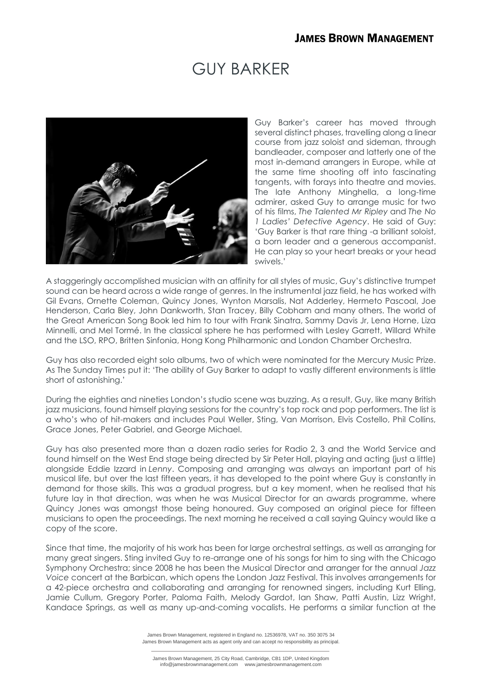## GUY BARKER



Guy Barker's career has moved through several distinct phases, travelling along a linear course from jazz soloist and sideman, through bandleader, composer and latterly one of the most in-demand arrangers in Europe, while at the same time shooting off into fascinating tangents, with forays into theatre and movies. The late Anthony Minghella, a long-time admirer, asked Guy to arrange music for two of his films, *The Talented Mr Ripley* and *The No 1 Ladies' Detective Agency*. He said of Guy: 'Guy Barker is that rare thing -a brilliant soloist, a born leader and a generous accompanist. He can play so your heart breaks or your head swivels.'

A staggeringly accomplished musician with an affinity for all styles of music, Guy's distinctive trumpet sound can be heard across a wide range of genres. In the instrumental jazz field, he has worked with Gil Evans, Ornette Coleman, Quincy Jones, Wynton Marsalis, Nat Adderley, Hermeto Pascoal, Joe Henderson, Carla Bley, John Dankworth, Stan Tracey, Billy Cobham and many others. The world of the Great American Song Book led him to tour with Frank Sinatra, Sammy Davis Jr, Lena Horne, Liza Minnelli, and Mel Tormé. In the classical sphere he has performed with Lesley Garrett, Willard White and the LSO, RPO, Britten Sinfonia, Hong Kong Philharmonic and London Chamber Orchestra.

Guy has also recorded eight solo albums, two of which were nominated for the Mercury Music Prize. As The Sunday Times put it: 'The ability of Guy Barker to adapt to vastly different environments is little short of astonishing.'

During the eighties and nineties London's studio scene was buzzing. As a result, Guy, like many British jazz musicians, found himself playing sessions for the country's top rock and pop performers. The list is a who's who of hit-makers and includes Paul Weller, Sting, Van Morrison, Elvis Costello, Phil Collins, Grace Jones, Peter Gabriel, and George Michael.

Guy has also presented more than a dozen radio series for Radio 2, 3 and the World Service and found himself on the West End stage being directed by Sir Peter Hall, playing and acting (just a little) alongside Eddie Izzard in *Lenny*. Composing and arranging was always an important part of his musical life, but over the last fifteen years, it has developed to the point where Guy is constantly in demand for those skills. This was a gradual progress, but a key moment, when he realised that his future lay in that direction, was when he was Musical Director for an awards programme, where Quincy Jones was amongst those being honoured. Guy composed an original piece for fifteen musicians to open the proceedings. The next morning he received a call saying Quincy would like a copy of the score.

Since that time, the majority of his work has been for large orchestral settings, as well as arranging for many great singers. Sting invited Guy to re-arrange one of his songs for him to sing with the Chicago Symphony Orchestra; since 2008 he has been the Musical Director and arranger for the annual *Jazz Voice* concert at the Barbican, which opens the London Jazz Festival. This involves arrangements for a 42-piece orchestra and collaborating and arranging for renowned singers, including Kurt Elling, Jamie Cullum, Gregory Porter, Paloma Faith, Melody Gardot, Ian Shaw, Patti Austin, Lizz Wright, Kandace Springs, as well as many up-and-coming vocalists. He performs a similar function at the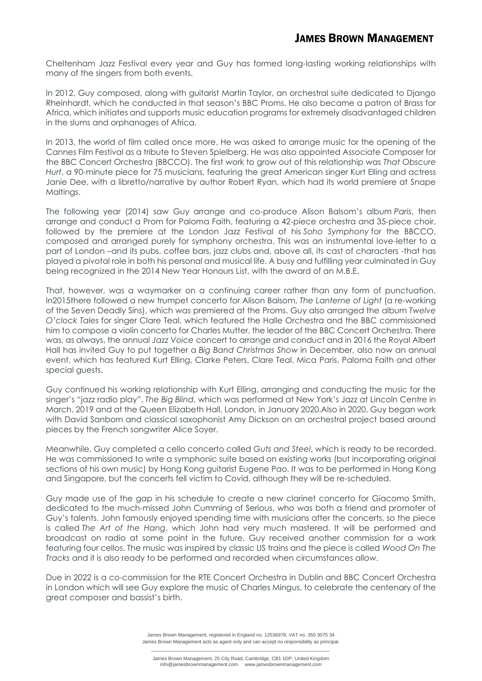Cheltenham Jazz Festival every year and Guy has formed long-lasting working relationships with many of the singers from both events.

In 2012, Guy composed, along with guitarist Martin Taylor, an orchestral suite dedicated to Django Rheinhardt, which he conducted in that season's BBC Proms. He also became a patron of Brass for Africa, which initiates and supports music education programs for extremely disadvantaged children in the slums and orphanages of Africa.

In 2013, the world of film called once more. He was asked to arrange music for the opening of the Cannes Film Festival as a tribute to Steven Spielberg. He was also appointed Associate Composer for the BBC Concert Orchestra (BBCCO). The first work to grow out of this relationship was *That Obscure Hurt*, a 90-minute piece for 75 musicians, featuring the great American singer Kurt Elling and actress Janie Dee, with a libretto/narrative by author Robert Ryan, which had its world premiere at Snape Maltinas.

The following year (2014) saw Guy arrange and co-produce Alison Balsom's album *Paris*, then arrange and conduct a Prom for Paloma Faith, featuring a 42-piece orchestra and 35-piece choir, followed by the premiere at the London Jazz Festival of his *Soho Symphony* for the BBCCO, composed and arranged purely for symphony orchestra. This was an instrumental love-letter to a part of London –and its pubs, coffee bars, jazz clubs and, above all, its cast of characters -that has played a pivotal role in both his personal and musical life. A busy and fulfilling year culminated in Guy being recognized in the 2014 New Year Honours List, with the award of an M.B.E.

That, however, was a waymarker on a continuing career rather than any form of punctuation. In2015there followed a new trumpet concerto for Alison Balsom, *The Lanterne of Light* (a re-working of the Seven Deadly Sins), which was premiered at the Proms. Guy also arranged the album *Twelve O'clock Tales* for singer Clare Teal, which featured the Halle Orchestra and the BBC commissioned him to compose a violin concerto for Charles Mutter, the leader of the BBC Concert Orchestra. There was, as always, the annual *Jazz Voice* concert to arrange and conduct and in 2016 the Royal Albert Hall has invited Guy to put together a *Big Band Christmas Show* in December, also now an annual event, which has featured Kurt Elling, Clarke Peters, Clare Teal, Mica Paris, Paloma Faith and other special guests.

Guy continued his working relationship with Kurt Elling, arranging and conducting the music for the singer's "jazz radio play", *The Big Blind*, which was performed at New York's Jazz at Lincoln Centre in March, 2019 and at the Queen Elizabeth Hall, London, in January 2020.Also in 2020, Guy began work with David Sanborn and classical saxophonist Amy Dickson on an orchestral project based around pieces by the French songwriter Alice Soyer.

Meanwhile, Guy completed a cello concerto called *Guts and Steel*, which is ready to be recorded. He was commissioned to write a symphonic suite based on existing works (but incorporating original sections of his own music) by Hong Kong guitarist Eugene Pao. It was to be performed in Hong Kong and Singapore, but the concerts fell victim to Covid, although they will be re-scheduled.

Guy made use of the gap in his schedule to create a new clarinet concerto for Giacomo Smith, dedicated to the much-missed John Cumming of Serious, who was both a friend and promoter of Guy's talents. John famously enjoyed spending time with musicians after the concerts, so the piece is called *The Art of the Hang*, which John had very much mastered. It will be performed and broadcast on radio at some point in the future. Guy received another commission for a work featuring four cellos. The music was inspired by classic US trains and the piece is called *Wood On The Tracks* and it is also ready to be performed and recorded when circumstances allow.

Due in 2022 is a co-commission for the RTE Concert Orchestra in Dublin and BBC Concert Orchestra in London which will see Guy explore the music of Charles Mingus, to celebrate the centenary of the great composer and bassist's birth.